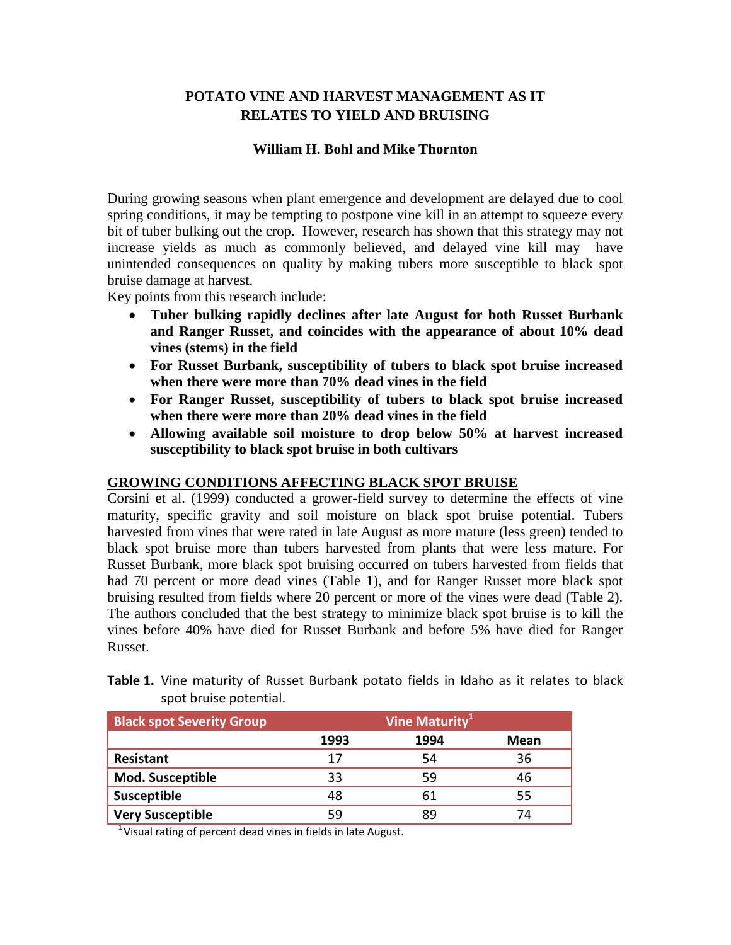# **POTATO VINE AND HARVEST MANAGEMENT AS IT RELATES TO YIELD AND BRUISING**

## **William H. Bohl and Mike Thornton**

During growing seasons when plant emergence and development are delayed due to cool spring conditions, it may be tempting to postpone vine kill in an attempt to squeeze every bit of tuber bulking out the crop. However, research has shown that this strategy may not increase yields as much as commonly believed, and delayed vine kill may have unintended consequences on quality by making tubers more susceptible to black spot bruise damage at harvest.

Key points from this research include:

- **Tuber bulking rapidly declines after late August for both Russet Burbank and Ranger Russet, and coincides with the appearance of about 10% dead vines (stems) in the field**
- **For Russet Burbank, susceptibility of tubers to black spot bruise increased when there were more than 70% dead vines in the field**
- **For Ranger Russet, susceptibility of tubers to black spot bruise increased when there were more than 20% dead vines in the field**
- **Allowing available soil moisture to drop below 50% at harvest increased susceptibility to black spot bruise in both cultivars**

#### **GROWING CONDITIONS AFFECTING BLACK SPOT BRUISE**

Corsini et al. (1999) conducted a grower-field survey to determine the effects of vine maturity, specific gravity and soil moisture on black spot bruise potential. Tubers harvested from vines that were rated in late August as more mature (less green) tended to black spot bruise more than tubers harvested from plants that were less mature. For Russet Burbank, more black spot bruising occurred on tubers harvested from fields that had 70 percent or more dead vines (Table 1), and for Ranger Russet more black spot bruising resulted from fields where 20 percent or more of the vines were dead (Table 2). The authors concluded that the best strategy to minimize black spot bruise is to kill the vines before 40% have died for Russet Burbank and before 5% have died for Ranger Russet.

| <b>Black spot Severity Group</b> | Vine Maturity <sup>1</sup> |      |      |  |  |
|----------------------------------|----------------------------|------|------|--|--|
|                                  | 1993                       | 1994 | Mean |  |  |
| Resistant                        | 17                         | 54   | 36   |  |  |
| <b>Mod. Susceptible</b>          | 33                         | 59   | 46   |  |  |
| Susceptible                      | 48                         | 61   | 55   |  |  |
| <b>Very Susceptible</b>          | 59                         | Ŗ۹   | 7Δ   |  |  |

**Table 1.** Vine maturity of Russet Burbank potato fields in Idaho as it relates to black spot bruise potential.

 $1$  Visual rating of percent dead vines in fields in late August.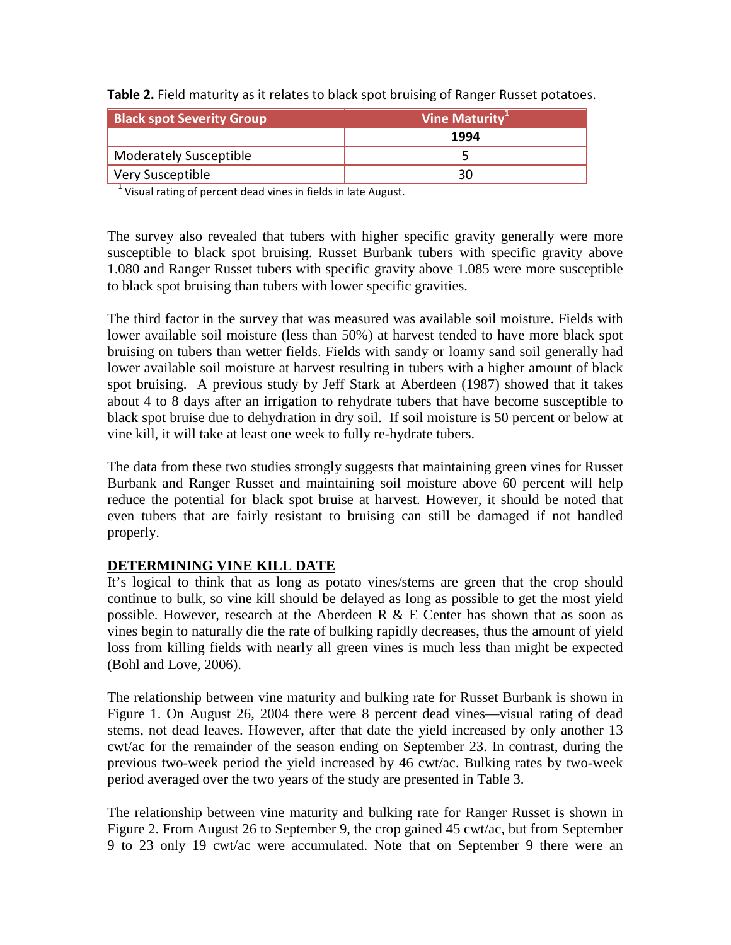| <b>Black spot Severity Group</b> | Vine Maturity <sup>1</sup> |  |
|----------------------------------|----------------------------|--|
|                                  | 1994                       |  |
| <b>Moderately Susceptible</b>    |                            |  |
| Very Susceptible                 | 30                         |  |

**Table 2.** Field maturity as it relates to black spot bruising of Ranger Russet potatoes.

 $1$  Visual rating of percent dead vines in fields in late August.

The survey also revealed that tubers with higher specific gravity generally were more susceptible to black spot bruising. Russet Burbank tubers with specific gravity above 1.080 and Ranger Russet tubers with specific gravity above 1.085 were more susceptible to black spot bruising than tubers with lower specific gravities.

The third factor in the survey that was measured was available soil moisture. Fields with lower available soil moisture (less than 50%) at harvest tended to have more black spot bruising on tubers than wetter fields. Fields with sandy or loamy sand soil generally had lower available soil moisture at harvest resulting in tubers with a higher amount of black spot bruising. A previous study by Jeff Stark at Aberdeen (1987) showed that it takes about 4 to 8 days after an irrigation to rehydrate tubers that have become susceptible to black spot bruise due to dehydration in dry soil. If soil moisture is 50 percent or below at vine kill, it will take at least one week to fully re-hydrate tubers.

The data from these two studies strongly suggests that maintaining green vines for Russet Burbank and Ranger Russet and maintaining soil moisture above 60 percent will help reduce the potential for black spot bruise at harvest. However, it should be noted that even tubers that are fairly resistant to bruising can still be damaged if not handled properly.

## **DETERMINING VINE KILL DATE**

It's logical to think that as long as potato vines/stems are green that the crop should continue to bulk, so vine kill should be delayed as long as possible to get the most yield possible. However, research at the Aberdeen R & E Center has shown that as soon as vines begin to naturally die the rate of bulking rapidly decreases, thus the amount of yield loss from killing fields with nearly all green vines is much less than might be expected (Bohl and Love, 2006).

The relationship between vine maturity and bulking rate for Russet Burbank is shown in Figure 1. On August 26, 2004 there were 8 percent dead vines—visual rating of dead stems, not dead leaves. However, after that date the yield increased by only another 13 cwt/ac for the remainder of the season ending on September 23. In contrast, during the previous two-week period the yield increased by 46 cwt/ac. Bulking rates by two-week period averaged over the two years of the study are presented in Table 3.

The relationship between vine maturity and bulking rate for Ranger Russet is shown in Figure 2. From August 26 to September 9, the crop gained 45 cwt/ac, but from September 9 to 23 only 19 cwt/ac were accumulated. Note that on September 9 there were an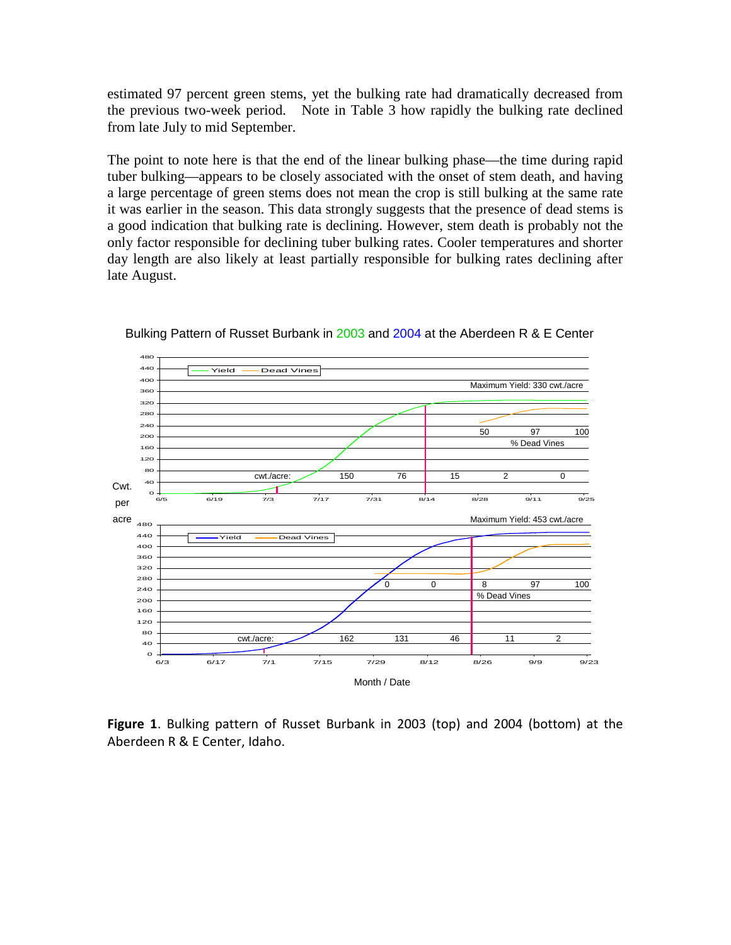estimated 97 percent green stems, yet the bulking rate had dramatically decreased from the previous two-week period. Note in Table 3 how rapidly the bulking rate declined from late July to mid September.

The point to note here is that the end of the linear bulking phase—the time during rapid tuber bulking—appears to be closely associated with the onset of stem death, and having a large percentage of green stems does not mean the crop is still bulking at the same rate it was earlier in the season. This data strongly suggests that the presence of dead stems is a good indication that bulking rate is declining. However, stem death is probably not the only factor responsible for declining tuber bulking rates. Cooler temperatures and shorter day length are also likely at least partially responsible for bulking rates declining after late August.



Bulking Pattern of Russet Burbank in 2003 and 2004 at the Aberdeen R & E Center

**Figure 1**. Bulking pattern of Russet Burbank in 2003 (top) and 2004 (bottom) at the Aberdeen R & E Center, Idaho.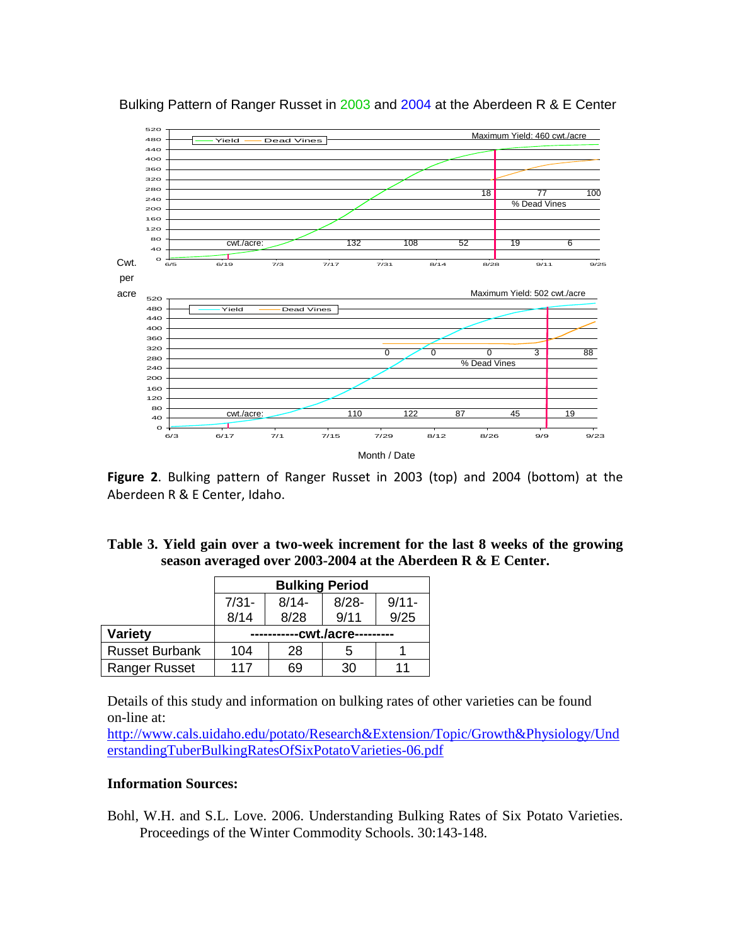

#### Bulking Pattern of Ranger Russet in 2003 and 2004 at the Aberdeen R & E Center

**Figure 2**. Bulking pattern of Ranger Russet in 2003 (top) and 2004 (bottom) at the Aberdeen R & E Center, Idaho.

## **Table 3. Yield gain over a two-week increment for the last 8 weeks of the growing season averaged over 2003-2004 at the Aberdeen R & E Center.**

|                       | <b>Bulking Period</b> |          |          |          |  |
|-----------------------|-----------------------|----------|----------|----------|--|
|                       | $7/31 -$              | $8/14 -$ | $8/28 -$ | $9/11 -$ |  |
|                       | 8/14                  | 8/28     | 9/11     | 9/25     |  |
| Variety               | -cwt./acre---------   |          |          |          |  |
| <b>Russet Burbank</b> | 104                   | 28       | 5        |          |  |
| <b>Ranger Russet</b>  | 117                   | 69       | 30       | 11       |  |

Details of this study and information on bulking rates of other varieties can be found on-line at:

[http://www.cals.uidaho.edu/potato/Research&Extension/Topic/Growth&Physiology/Und](http://www.cals.uidaho.edu/potato/Research&Extension/Topic/Growth&Physiology/UnderstandingTuberBulkingRatesOfSixPotatoVarieties-06.pdf) [erstandingTuberBulkingRatesOfSixPotatoVarieties-06.pdf](http://www.cals.uidaho.edu/potato/Research&Extension/Topic/Growth&Physiology/UnderstandingTuberBulkingRatesOfSixPotatoVarieties-06.pdf)

### **Information Sources:**

Bohl, W.H. and S.L. Love. 2006. Understanding Bulking Rates of Six Potato Varieties. Proceedings of the Winter Commodity Schools. 30:143-148.